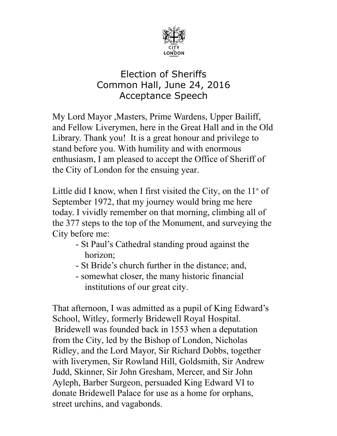

## Election of Sheriffs Common Hall, June 24, 2016 Acceptance Speech

My Lord Mayor ,Masters, Prime Wardens, Upper Bailiff, and Fellow Liverymen, here in the Great Hall and in the Old Library. Thank you! It is a great honour and privilege to stand before you. With humility and with enormous enthusiasm, I am pleased to accept the Office of Sheriff of the City of London for the ensuing year.

Little did I know, when I first visited the City, on the  $11<sup>th</sup>$  of September 1972, that my journey would bring me here today. I vividly remember on that morning, climbing all of the 377 steps to the top of the Monument, and surveying the City before me:

- St Paul's Cathedral standing proud against the horizon;
- St Bride's church further in the distance; and,
- somewhat closer, the many historic financial institutions of our great city.

That afternoon, I was admitted as a pupil of King Edward's School, Witley, formerly Bridewell Royal Hospital. Bridewell was founded back in 1553 when a deputation from the City, led by the Bishop of London, Nicholas Ridley, and the Lord Mayor, Sir Richard Dobbs, together with liverymen, Sir Rowland Hill, Goldsmith, Sir Andrew Judd, Skinner, Sir John Gresham, Mercer, and Sir John Ayleph, Barber Surgeon, persuaded King Edward VI to donate Bridewell Palace for use as a home for orphans, street urchins, and vagabonds.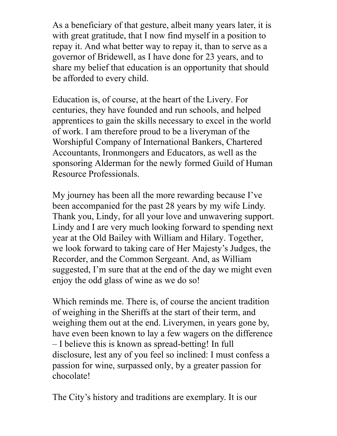As a beneficiary of that gesture, albeit many years later, it is with great gratitude, that I now find myself in a position to repay it. And what better way to repay it, than to serve as a governor of Bridewell, as I have done for 23 years, and to share my belief that education is an opportunity that should be afforded to every child.

Education is, of course, at the heart of the Livery. For centuries, they have founded and run schools, and helped apprentices to gain the skills necessary to excel in the world of work. I am therefore proud to be a liveryman of the Worshipful Company of International Bankers, Chartered Accountants, Ironmongers and Educators, as well as the sponsoring Alderman for the newly formed Guild of Human Resource Professionals.

My journey has been all the more rewarding because I've been accompanied for the past 28 years by my wife Lindy. Thank you, Lindy, for all your love and unwavering support. Lindy and I are very much looking forward to spending next year at the Old Bailey with William and Hilary. Together, we look forward to taking care of Her Majesty's Judges, the Recorder, and the Common Sergeant. And, as William suggested, I'm sure that at the end of the day we might even enjoy the odd glass of wine as we do so!

Which reminds me. There is, of course the ancient tradition of weighing in the Sheriffs at the start of their term, and weighing them out at the end. Liverymen, in years gone by, have even been known to lay a few wagers on the difference – I believe this is known as spread-betting! In full disclosure, lest any of you feel so inclined: I must confess a passion for wine, surpassed only, by a greater passion for chocolate!

The City's history and traditions are exemplary. It is our